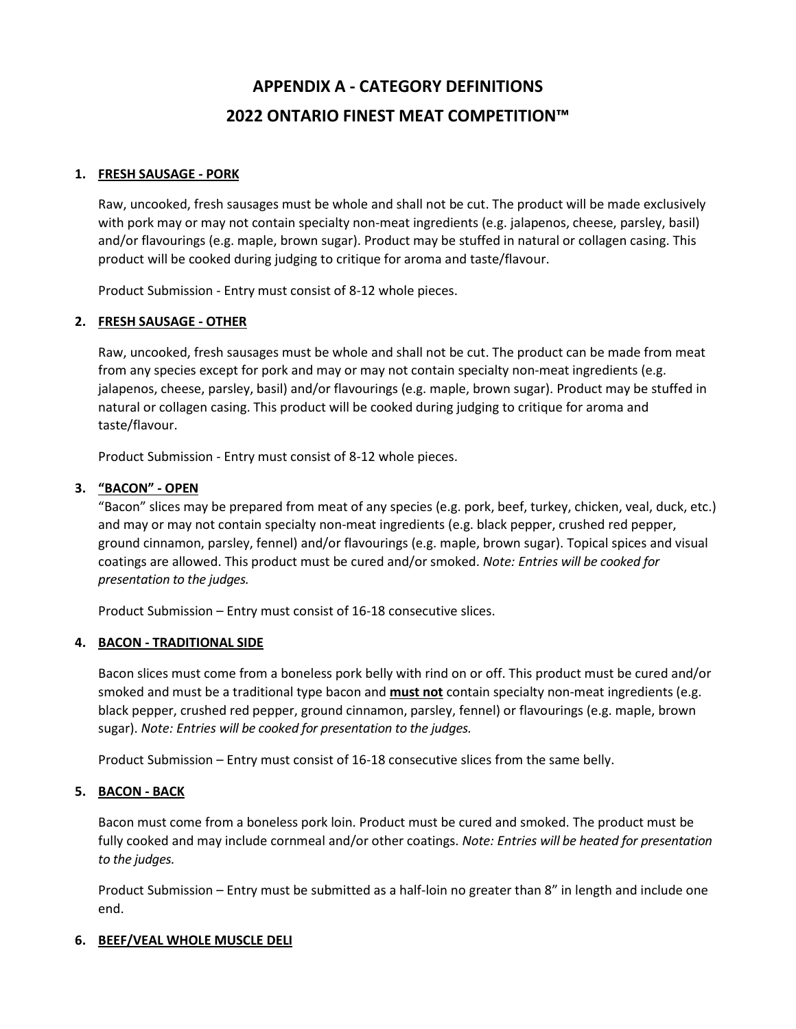# **APPENDIX A - CATEGORY DEFINITIONS 2022 ONTARIO FINEST MEAT COMPETITION™**

## **1. FRESH SAUSAGE - PORK**

Raw, uncooked, fresh sausages must be whole and shall not be cut. The product will be made exclusively with pork may or may not contain specialty non-meat ingredients (e.g. jalapenos, cheese, parsley, basil) and/or flavourings (e.g. maple, brown sugar). Product may be stuffed in natural or collagen casing. This product will be cooked during judging to critique for aroma and taste/flavour.

Product Submission - Entry must consist of 8-12 whole pieces.

## **2. FRESH SAUSAGE - OTHER**

Raw, uncooked, fresh sausages must be whole and shall not be cut. The product can be made from meat from any species except for pork and may or may not contain specialty non-meat ingredients (e.g. jalapenos, cheese, parsley, basil) and/or flavourings (e.g. maple, brown sugar). Product may be stuffed in natural or collagen casing. This product will be cooked during judging to critique for aroma and taste/flavour.

Product Submission - Entry must consist of 8-12 whole pieces.

## **3. "BACON" - OPEN**

"Bacon" slices may be prepared from meat of any species (e.g. pork, beef, turkey, chicken, veal, duck, etc.) and may or may not contain specialty non-meat ingredients (e.g. black pepper, crushed red pepper, ground cinnamon, parsley, fennel) and/or flavourings (e.g. maple, brown sugar). Topical spices and visual coatings are allowed. This product must be cured and/or smoked. *Note: Entries will be cooked for presentation to the judges.*

Product Submission – Entry must consist of 16-18 consecutive slices.

#### **4. BACON - TRADITIONAL SIDE**

Bacon slices must come from a boneless pork belly with rind on or off. This product must be cured and/or smoked and must be a traditional type bacon and **must not** contain specialty non-meat ingredients (e.g. black pepper, crushed red pepper, ground cinnamon, parsley, fennel) or flavourings (e.g. maple, brown sugar). *Note: Entries will be cooked for presentation to the judges.*

Product Submission – Entry must consist of 16-18 consecutive slices from the same belly.

#### **5. BACON - BACK**

Bacon must come from a boneless pork loin. Product must be cured and smoked. The product must be fully cooked and may include cornmeal and/or other coatings. *Note: Entries will be heated for presentation to the judges.*

Product Submission – Entry must be submitted as a half-loin no greater than 8" in length and include one end.

#### **6. BEEF/VEAL WHOLE MUSCLE DELI**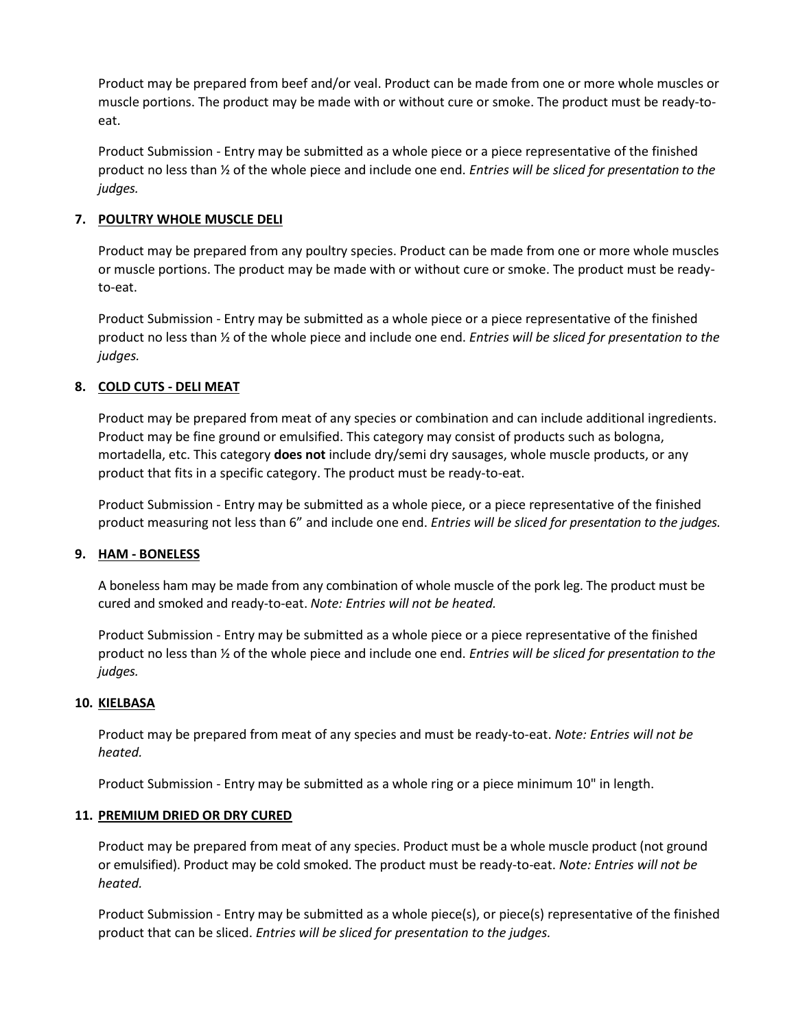Product may be prepared from beef and/or veal. Product can be made from one or more whole muscles or muscle portions. The product may be made with or without cure or smoke. The product must be ready-toeat.

Product Submission - Entry may be submitted as a whole piece or a piece representative of the finished product no less than ½ of the whole piece and include one end. *Entries will be sliced for presentation to the judges.*

## **7. POULTRY WHOLE MUSCLE DELI**

Product may be prepared from any poultry species. Product can be made from one or more whole muscles or muscle portions. The product may be made with or without cure or smoke. The product must be readyto-eat.

Product Submission - Entry may be submitted as a whole piece or a piece representative of the finished product no less than ½ of the whole piece and include one end. *Entries will be sliced for presentation to the judges.*

## **8. COLD CUTS - DELI MEAT**

Product may be prepared from meat of any species or combination and can include additional ingredients. Product may be fine ground or emulsified. This category may consist of products such as bologna, mortadella, etc. This category **does not** include dry/semi dry sausages, whole muscle products, or any product that fits in a specific category. The product must be ready-to-eat.

Product Submission - Entry may be submitted as a whole piece, or a piece representative of the finished product measuring not less than 6" and include one end. *Entries will be sliced for presentation to the judges.*

#### **9. HAM - BONELESS**

A boneless ham may be made from any combination of whole muscle of the pork leg. The product must be cured and smoked and ready-to-eat. *Note: Entries will not be heated.* 

Product Submission - Entry may be submitted as a whole piece or a piece representative of the finished product no less than ½ of the whole piece and include one end. *Entries will be sliced for presentation to the judges.* 

#### **10. KIELBASA**

Product may be prepared from meat of any species and must be ready-to-eat. *Note: Entries will not be heated.*

Product Submission - Entry may be submitted as a whole ring or a piece minimum 10" in length.

#### **11. PREMIUM DRIED OR DRY CURED**

Product may be prepared from meat of any species. Product must be a whole muscle product (not ground or emulsified). Product may be cold smoked. The product must be ready-to-eat. *Note: Entries will not be heated.* 

Product Submission - Entry may be submitted as a whole piece(s), or piece(s) representative of the finished product that can be sliced. *Entries will be sliced for presentation to the judges.*